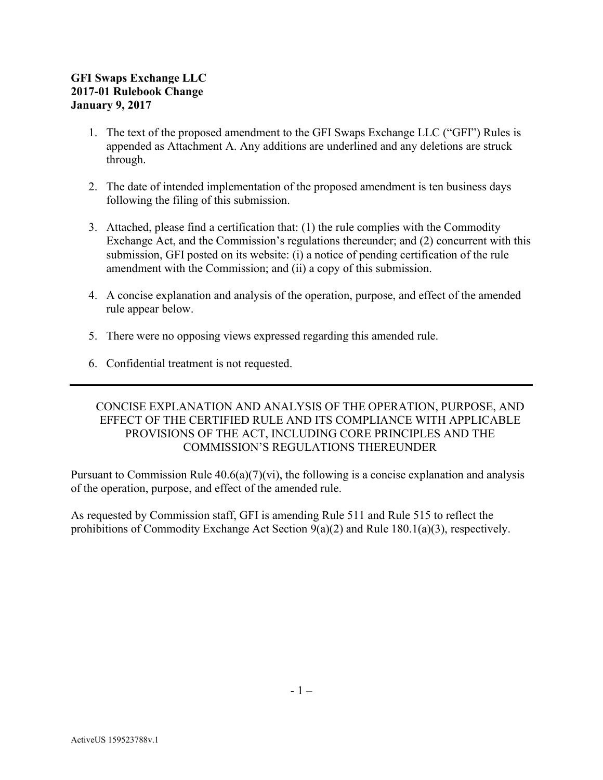- 1. The text of the proposed amendment to the GFI Swaps Exchange LLC ("GFI") Rules is appended as Attachment A. Any additions are underlined and any deletions are struck through.
- 2. The date of intended implementation of the proposed amendment is ten business days following the filing of this submission.
- 3. Attached, please find a certification that: (1) the rule complies with the Commodity Exchange Act, and the Commission's regulations thereunder; and (2) concurrent with this submission, GFI posted on its website: (i) a notice of pending certification of the rule amendment with the Commission; and (ii) a copy of this submission.
- 4. A concise explanation and analysis of the operation, purpose, and effect of the amended rule appear below.
- 5. There were no opposing views expressed regarding this amended rule.
- 6. Confidential treatment is not requested.

## CONCISE EXPLANATION AND ANALYSIS OF THE OPERATION, PURPOSE, AND EFFECT OF THE CERTIFIED RULE AND ITS COMPLIANCE WITH APPLICABLE PROVISIONS OF THE ACT, INCLUDING CORE PRINCIPLES AND THE COMMISSION'S REGULATIONS THEREUNDER

Pursuant to Commission Rule  $40.6(a)(7)(vi)$ , the following is a concise explanation and analysis of the operation, purpose, and effect of the amended rule.

As requested by Commission staff, GFI is amending Rule 511 and Rule 515 to reflect the prohibitions of Commodity Exchange Act Section 9(a)(2) and Rule 180.1(a)(3), respectively.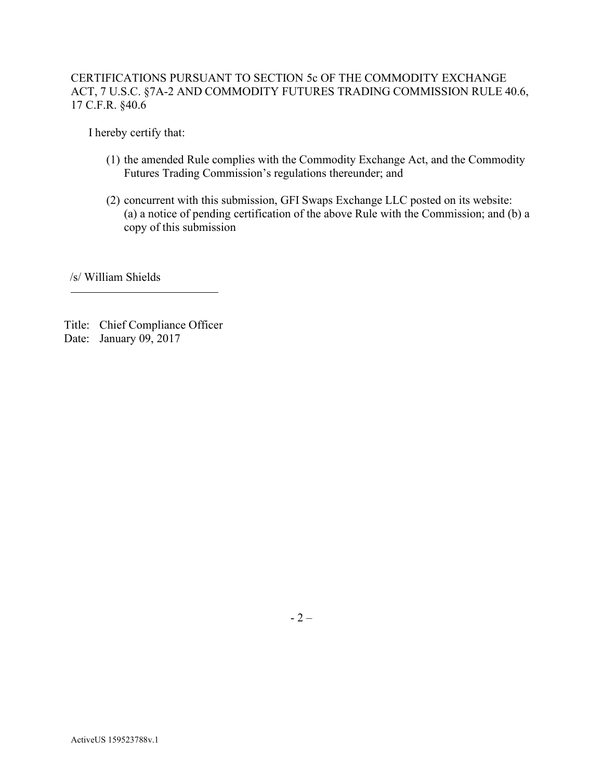## CERTIFICATIONS PURSUANT TO SECTION 5c OF THE COMMODITY EXCHANGE ACT, 7 U.S.C. §7A-2 AND COMMODITY FUTURES TRADING COMMISSION RULE 40.6, 17 C.F.R. §40.6

I hereby certify that:

- (1) the amended Rule complies with the Commodity Exchange Act, and the Commodity Futures Trading Commission's regulations thereunder; and
- (2) concurrent with this submission, GFI Swaps Exchange LLC posted on its website: (a) a notice of pending certification of the above Rule with the Commission; and (b) a copy of this submission

/s/ William Shields

Title: Chief Compliance Officer Date: January 09, 2017

- 2 –